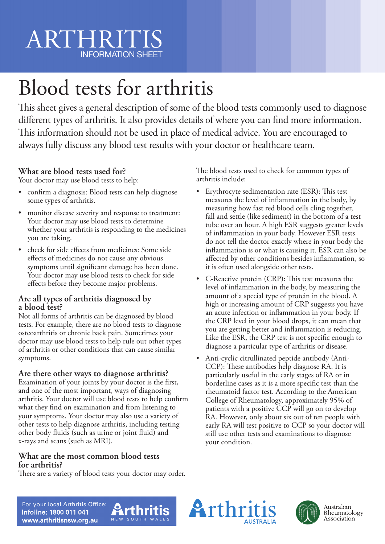# ARTHRITI INFORMATION SHEET

# Blood tests for arthritis

This sheet gives a general description of some of the blood tests commonly used to diagnose different types of arthritis. It also provides details of where you can find more information. This information should not be used in place of medical advice. You are encouraged to always fully discuss any blood test results with your doctor or healthcare team.

## **What are blood tests used for?**

Your doctor may use blood tests to help:

- confirm a diagnosis: Blood tests can help diagnose some types of arthritis.
- monitor disease severity and response to treatment: Your doctor may use blood tests to determine whether your arthritis is responding to the medicines you are taking.
- check for side effects from medicines: Some side effects of medicines do not cause any obvious symptoms until significant damage has been done. Your doctor may use blood tests to check for side effects before they become major problems.

#### **Are all types of arthritis diagnosed by a blood test?**

Not all forms of arthritis can be diagnosed by blood tests. For example, there are no blood tests to diagnose osteoarthritis or chronic back pain. Sometimes your doctor may use blood tests to help rule out other types of arthritis or other conditions that can cause similar symptoms.

## **Are there other ways to diagnose arthritis?**

Examination of your joints by your doctor is the first, and one of the most important, ways of diagnosing arthritis. Your doctor will use blood tests to help confirm what they find on examination and from listening to your symptoms. Your doctor may also use a variety of other tests to help diagnose arthritis, including testing other body fluids (such as urine or joint fluid) and x-rays and scans (such as MRI).

#### **What are the most common blood tests for arthritis?**

There are a variety of blood tests your doctor may order.

The blood tests used to check for common types of arthritis include:

- Erythrocyte sedimentation rate (ESR): This test measures the level of inflammation in the body, by measuring how fast red blood cells cling together, fall and settle (like sediment) in the bottom of a test tube over an hour. A high ESR suggests greater levels of inflammation in your body. However ESR tests do not tell the doctor exactly where in your body the inflammation is or what is causing it. ESR can also be affected by other conditions besides inflammation, so it is often used alongside other tests.
- C-Reactive protein (CRP): This test measures the level of inflammation in the body, by measuring the amount of a special type of protein in the blood. A high or increasing amount of CRP suggests you have an acute infection or inflammation in your body. If the CRP level in your blood drops, it can mean that you are getting better and inflammation is reducing. Like the ESR, the CRP test is not specific enough to diagnose a particular type of arthritis or disease.
- Anti-cyclic citrullinated peptide antibody (Anti-CCP): These antibodies help diagnose RA. It is particularly useful in the early stages of RA or in borderline cases as it is a more specific test than the rheumatoid factor test. According to the American College of Rheumatology, approximately 95% of patients with a positive CCP will go on to develop RA. However, only about six out of ten people with early RA will test positive to CCP so your doctor will still use other tests and examinations to diagnose your condition.